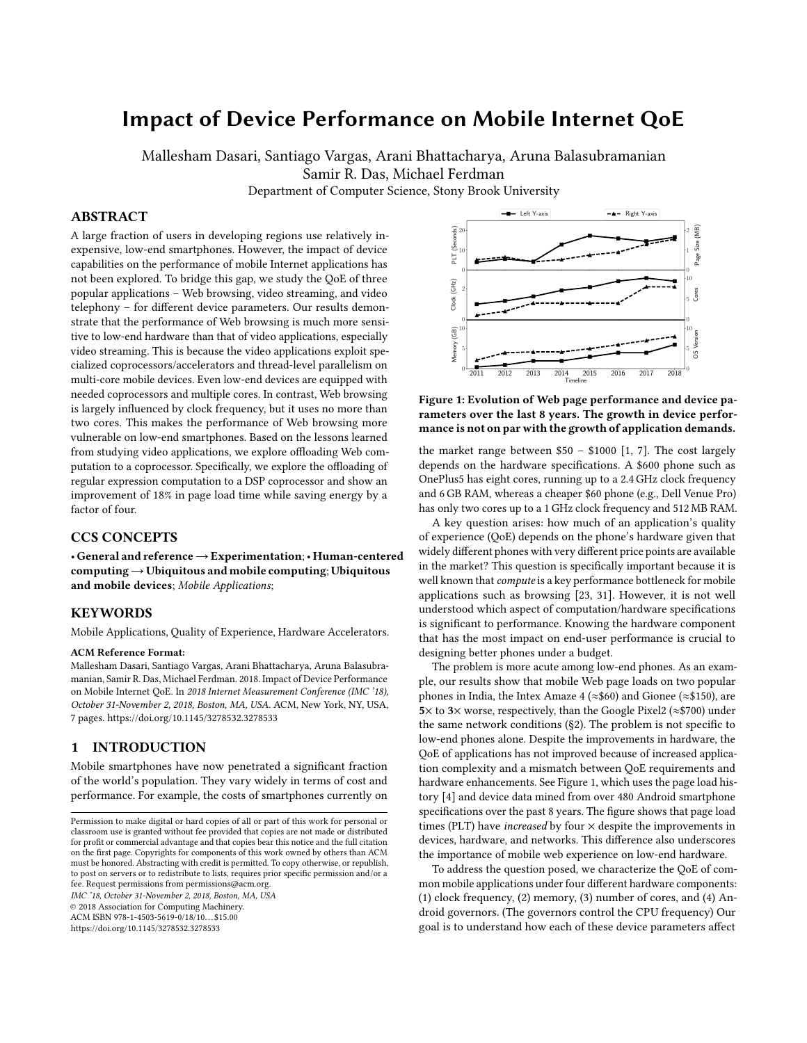# Impact of Device Performance on Mobile Internet QoE

Mallesham Dasari, Santiago Vargas, Arani Bhattacharya, Aruna Balasubramanian Samir R. Das, Michael Ferdman

Department of Computer Science, Stony Brook University

# ABSTRACT

A large fraction of users in developing regions use relatively inexpensive, low-end smartphones. However, the impact of device capabilities on the performance of mobile Internet applications has not been explored. To bridge this gap, we study the QoE of three popular applications – Web browsing, video streaming, and video telephony – for different device parameters. Our results demonstrate that the performance of Web browsing is much more sensitive to low-end hardware than that of video applications, especially video streaming. This is because the video applications exploit specialized coprocessors/accelerators and thread-level parallelism on multi-core mobile devices. Even low-end devices are equipped with needed coprocessors and multiple cores. In contrast, Web browsing is largely influenced by clock frequency, but it uses no more than two cores. This makes the performance of Web browsing more vulnerable on low-end smartphones. Based on the lessons learned from studying video applications, we explore offloading Web computation to a coprocessor. Specifically, we explore the offloading of regular expression computation to a DSP coprocessor and show an improvement of 18% in page load time while saving energy by a factor of four.

# CCS CONCEPTS

• General and reference→Experimentation;• Human-centered computing→Ubiquitous and mobile computing; Ubiquitous and mobile devices; Mobile Applications;

#### KEYWORDS

Mobile Applications, Quality of Experience, Hardware Accelerators.

#### ACM Reference Format:

Mallesham Dasari, Santiago Vargas, Arani Bhattacharya, Aruna Balasubramanian, Samir R. Das, Michael Ferdman. 2018. Impact of Device Performance on Mobile Internet QoE. In 2018 Internet Measurement Conference (IMC '18), October 31-November 2, 2018, Boston, MA, USA. ACM, New York, NY, USA, [7](#page-6-0) pages.<https://doi.org/10.1145/3278532.3278533>

## 1 INTRODUCTION

Mobile smartphones have now penetrated a significant fraction of the world's population. They vary widely in terms of cost and performance. For example, the costs of smartphones currently on

IMC '18, October 31-November 2, 2018, Boston, MA, USA

© 2018 Association for Computing Machinery.

ACM ISBN 978-1-4503-5619-0/18/10. . . \$15.00

<https://doi.org/10.1145/3278532.3278533>

<span id="page-0-0"></span>

Figure 1: Evolution of Web page performance and device parameters over the last 8 years. The growth in device performance is not on par with the growth of application demands.

the market range between  $$50 - $1000$  [\[1,](#page-6-1) [7\]](#page-6-2). The cost largely depends on the hardware specifications. A \$600 phone such as OnePlus5 has eight cores, running up to a 2.4 GHz clock frequency and 6 GB RAM, whereas a cheaper \$60 phone (e.g., Dell Venue Pro) has only two cores up to a 1 GHz clock frequency and 512 MB RAM.

A key question arises: how much of an application's quality of experience (QoE) depends on the phone's hardware given that widely different phones with very different price points are available in the market? This question is specifically important because it is well known that compute is a key performance bottleneck for mobile applications such as browsing [\[23,](#page-6-3) [31\]](#page-6-4). However, it is not well understood which aspect of computation/hardware specifications is significant to performance. Knowing the hardware component that has the most impact on end-user performance is crucial to designing better phones under a budget.

The problem is more acute among low-end phones. As an example, our results show that mobile Web page loads on two popular phones in India, the Intex Amaze 4 (≈\$60) and Gionee (≈\$150), are 5× to 3× worse, respectively, than the Google Pixel2 ( $\approx$ \$700) under the same network conditions ([§2\)](#page-1-0). The problem is not specific to low-end phones alone. Despite the improvements in hardware, the QoE of applications has not improved because of increased application complexity and a mismatch between QoE requirements and hardware enhancements. See Figure [1,](#page-0-0) which uses the page load history [\[4\]](#page-6-5) and device data mined from over 480 Android smartphone specifications over the past 8 years. The figure shows that page load times (PLT) have *increased* by four  $\times$  despite the improvements in devices, hardware, and networks. This difference also underscores the importance of mobile web experience on low-end hardware.

To address the question posed, we characterize the QoE of common mobile applications under four different hardware components: (1) clock frequency, (2) memory, (3) number of cores, and (4) Android governors. (The governors control the CPU frequency) Our goal is to understand how each of these device parameters affect

Permission to make digital or hard copies of all or part of this work for personal or classroom use is granted without fee provided that copies are not made or distributed for profit or commercial advantage and that copies bear this notice and the full citation on the first page. Copyrights for components of this work owned by others than ACM must be honored. Abstracting with credit is permitted. To copy otherwise, or republish, to post on servers or to redistribute to lists, requires prior specific permission and/or a fee. Request permissions from permissions@acm.org.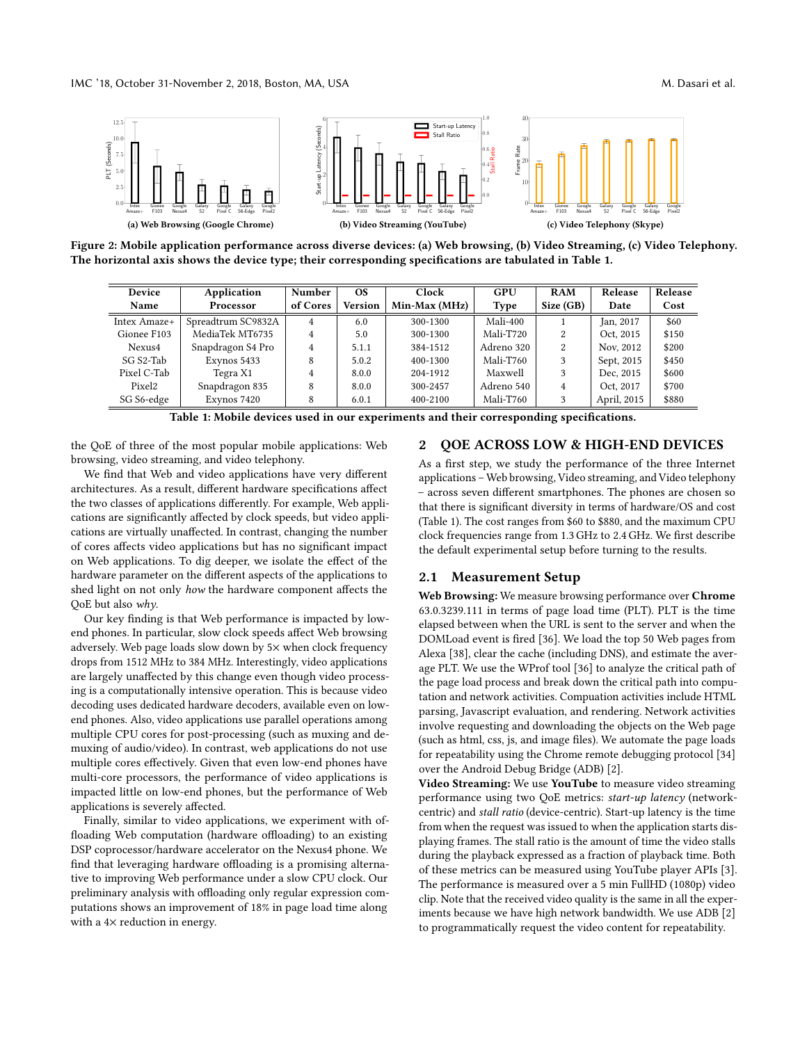<span id="page-1-2"></span>

<span id="page-1-1"></span>Figure 2: Mobile application performance across diverse devices: (a) Web browsing, (b) Video Streaming, (c) Video Telephony. The horizontal axis shows the device type; their corresponding specifications are tabulated in Table [1.](#page-1-1)

| Device             | Application        | Number         | OS.            | Clock         | GPU        | <b>RAM</b> | Release     | Release |
|--------------------|--------------------|----------------|----------------|---------------|------------|------------|-------------|---------|
| Name               | Processor          | of Cores       | <b>Version</b> | Min-Max (MHz) | Type       | Size (GB)  | Date        | Cost    |
| Intex Amaze+       | Spreadtrum SC9832A | $\overline{4}$ | 6.0            | 300-1300      | Mali-400   |            | Jan, 2017   | \$60    |
| Gionee F103        | MediaTek MT6735    | $\overline{4}$ | 5.0            | 300-1300      | Mali-T720  | 2          | Oct. 2015   | \$150   |
| Nexus4             | Snapdragon S4 Pro  | $\overline{4}$ | 5.1.1          | 384-1512      | Adreno 320 | 2          | Nov, 2012   | \$200   |
| SG S2-Tab          | Exynos 5433        | 8              | 5.0.2          | 400-1300      | Mali-T760  | 3          | Sept, 2015  | \$450   |
| Pixel C-Tab        | Tegra X1           | 4              | 8.0.0          | 204-1912      | Maxwell    | 3          | Dec. 2015   | \$600   |
| Pixel <sub>2</sub> | Snapdragon 835     | 8              | 8.0.0          | 300-2457      | Adreno 540 | 4          | Oct. 2017   | \$700   |
| SG S6-edge         | Exynos 7420        | 8              | 6.0.1          | 400-2100      | Mali-T760  | 3          | April, 2015 | \$880   |

Table 1: Mobile devices used in our experiments and their corresponding specifications.

the QoE of three of the most popular mobile applications: Web browsing, video streaming, and video telephony.

We find that Web and video applications have very different architectures. As a result, different hardware specifications affect the two classes of applications differently. For example, Web applications are significantly affected by clock speeds, but video applications are virtually unaffected. In contrast, changing the number of cores affects video applications but has no significant impact on Web applications. To dig deeper, we isolate the effect of the hardware parameter on the different aspects of the applications to shed light on not only how the hardware component affects the QoE but also why.

Our key finding is that Web performance is impacted by lowend phones. In particular, slow clock speeds affect Web browsing adversely. Web page loads slow down by 5× when clock frequency drops from 1512 MHz to 384 MHz. Interestingly, video applications are largely unaffected by this change even though video processing is a computationally intensive operation. This is because video decoding uses dedicated hardware decoders, available even on lowend phones. Also, video applications use parallel operations among multiple CPU cores for post-processing (such as muxing and demuxing of audio/video). In contrast, web applications do not use multiple cores effectively. Given that even low-end phones have multi-core processors, the performance of video applications is impacted little on low-end phones, but the performance of Web applications is severely affected.

Finally, similar to video applications, we experiment with offloading Web computation (hardware offloading) to an existing DSP coprocessor/hardware accelerator on the Nexus4 phone. We find that leveraging hardware offloading is a promising alternative to improving Web performance under a slow CPU clock. Our preliminary analysis with offloading only regular expression computations shows an improvement of 18% in page load time along with a  $4\times$  reduction in energy.

#### <span id="page-1-0"></span>2 QOE ACROSS LOW & HIGH-END DEVICES

As a first step, we study the performance of the three Internet applications – Web browsing, Video streaming, and Video telephony – across seven different smartphones. The phones are chosen so that there is significant diversity in terms of hardware/OS and cost (Table [1\)](#page-1-1). The cost ranges from \$60 to \$880, and the maximum CPU clock frequencies range from 1.3 GHz to 2.4 GHz. We first describe the default experimental setup before turning to the results.

#### <span id="page-1-3"></span>2.1 Measurement Setup

Web Browsing: We measure browsing performance over Chrome 63.0.3239.111 in terms of page load time (PLT). PLT is the time elapsed between when the URL is sent to the server and when the DOMLoad event is fired [\[36\]](#page-6-6). We load the top 50 Web pages from Alexa [\[38\]](#page-6-7), clear the cache (including DNS), and estimate the average PLT. We use the WProf tool [\[36\]](#page-6-6) to analyze the critical path of the page load process and break down the critical path into computation and network activities. Compuation activities include HTML parsing, Javascript evaluation, and rendering. Network activities involve requesting and downloading the objects on the Web page (such as html, css, js, and image files). We automate the page loads for repeatability using the Chrome remote debugging protocol [\[34\]](#page-6-8) over the Android Debug Bridge (ADB) [\[2\]](#page-6-9).

Video Streaming: We use YouTube to measure video streaming performance using two QoE metrics: start-up latency (networkcentric) and stall ratio (device-centric). Start-up latency is the time from when the request was issued to when the application starts displaying frames. The stall ratio is the amount of time the video stalls during the playback expressed as a fraction of playback time. Both of these metrics can be measured using YouTube player APIs [\[3\]](#page-6-10). The performance is measured over a 5 min FullHD (1080p) video clip. Note that the received video quality is the same in all the experiments because we have high network bandwidth. We use ADB [\[2\]](#page-6-9) to programmatically request the video content for repeatability.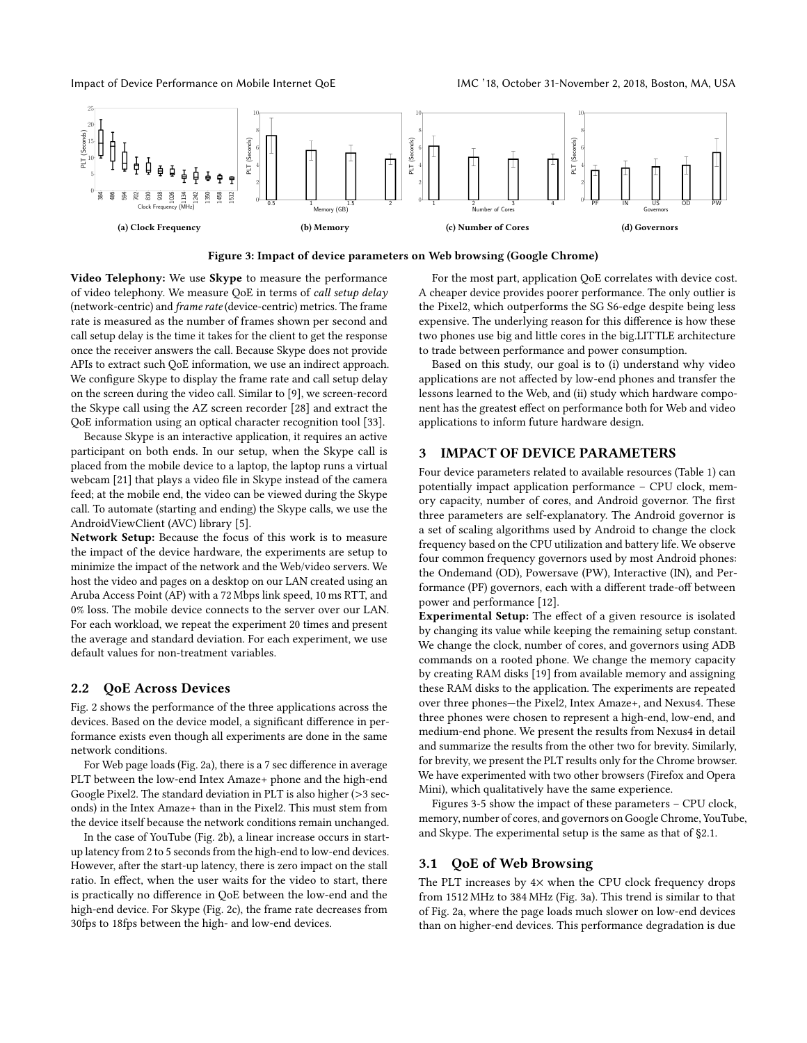<span id="page-2-0"></span>

Figure 3: Impact of device parameters on Web browsing (Google Chrome)

Video Telephony: We use Skype to measure the performance of video telephony. We measure QoE in terms of call setup delay (network-centric) and frame rate (device-centric) metrics. The frame rate is measured as the number of frames shown per second and call setup delay is the time it takes for the client to get the response once the receiver answers the call. Because Skype does not provide APIs to extract such QoE information, we use an indirect approach. We configure Skype to display the frame rate and call setup delay on the screen during the video call. Similar to [\[9\]](#page-6-11), we screen-record the Skype call using the AZ screen recorder [\[28\]](#page-6-12) and extract the QoE information using an optical character recognition tool [\[33\]](#page-6-13).

Because Skype is an interactive application, it requires an active participant on both ends. In our setup, when the Skype call is placed from the mobile device to a laptop, the laptop runs a virtual webcam [\[21\]](#page-6-14) that plays a video file in Skype instead of the camera feed; at the mobile end, the video can be viewed during the Skype call. To automate (starting and ending) the Skype calls, we use the AndroidViewClient (AVC) library [\[5\]](#page-6-15).

Network Setup: Because the focus of this work is to measure the impact of the device hardware, the experiments are setup to minimize the impact of the network and the Web/video servers. We host the video and pages on a desktop on our LAN created using an Aruba Access Point (AP) with a 72 Mbps link speed, 10 ms RTT, and 0% loss. The mobile device connects to the server over our LAN. For each workload, we repeat the experiment 20 times and present the average and standard deviation. For each experiment, we use default values for non-treatment variables.

## 2.2 QoE Across Devices

Fig. [2](#page-1-2) shows the performance of the three applications across the devices. Based on the device model, a significant difference in performance exists even though all experiments are done in the same network conditions.

For Web page loads (Fig. [2a](#page-1-2)), there is a 7 sec difference in average PLT between the low-end Intex Amaze+ phone and the high-end Google Pixel2. The standard deviation in PLT is also higher (>3 seconds) in the Intex Amaze+ than in the Pixel2. This must stem from the device itself because the network conditions remain unchanged.

In the case of YouTube (Fig. [2b](#page-1-2)), a linear increase occurs in startup latency from 2 to 5 seconds from the high-end to low-end devices. However, after the start-up latency, there is zero impact on the stall ratio. In effect, when the user waits for the video to start, there is practically no difference in QoE between the low-end and the high-end device. For Skype (Fig. [2c](#page-1-2)), the frame rate decreases from 30fps to 18fps between the high- and low-end devices.

For the most part, application QoE correlates with device cost. A cheaper device provides poorer performance. The only outlier is the Pixel2, which outperforms the SG S6-edge despite being less expensive. The underlying reason for this difference is how these two phones use big and little cores in the big.LITTLE architecture to trade between performance and power consumption.

Based on this study, our goal is to (i) understand why video applications are not affected by low-end phones and transfer the lessons learned to the Web, and (ii) study which hardware component has the greatest effect on performance both for Web and video applications to inform future hardware design.

## <span id="page-2-1"></span>3 IMPACT OF DEVICE PARAMETERS

Four device parameters related to available resources (Table [1\)](#page-1-1) can potentially impact application performance – CPU clock, memory capacity, number of cores, and Android governor. The first three parameters are self-explanatory. The Android governor is a set of scaling algorithms used by Android to change the clock frequency based on the CPU utilization and battery life. We observe four common frequency governors used by most Android phones: the Ondemand (OD), Powersave (PW), Interactive (IN), and Performance (PF) governors, each with a different trade-off between power and performance [\[12\]](#page-6-16).

Experimental Setup: The effect of a given resource is isolated by changing its value while keeping the remaining setup constant. We change the clock, number of cores, and governors using ADB commands on a rooted phone. We change the memory capacity by creating RAM disks [\[19\]](#page-6-17) from available memory and assigning these RAM disks to the application. The experiments are repeated over three phones—the Pixel2, Intex Amaze+, and Nexus4. These three phones were chosen to represent a high-end, low-end, and medium-end phone. We present the results from Nexus4 in detail and summarize the results from the other two for brevity. Similarly, for brevity, we present the PLT results only for the Chrome browser. We have experimented with two other browsers (Firefox and Opera Mini), which qualitatively have the same experience.

Figures [3-](#page-2-0)[5](#page-4-0) show the impact of these parameters – CPU clock, memory, number of cores, and governors on Google Chrome, YouTube, and Skype. The experimental setup is the same as that of [§2.1.](#page-1-3)

#### 3.1 QoE of Web Browsing

The PLT increases by  $4\times$  when the CPU clock frequency drops from 1512 MHz to 384 MHz (Fig. [3a](#page-2-0)). This trend is similar to that of Fig. [2a](#page-1-2), where the page loads much slower on low-end devices than on higher-end devices. This performance degradation is due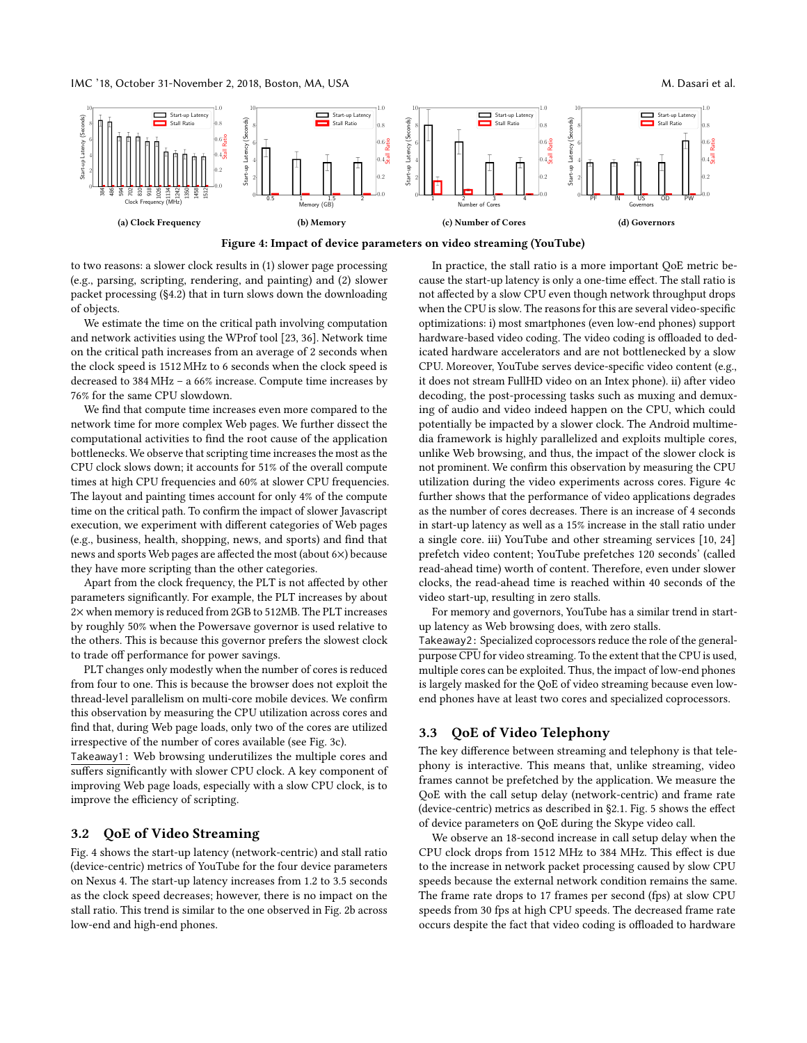IMC '18, October 31-November 2, 2018, Boston, MA, USA M. Dasari et al.

<span id="page-3-0"></span>

Figure 4: Impact of device parameters on video streaming (YouTube)

to two reasons: a slower clock results in (1) slower page processing (e.g., parsing, scripting, rendering, and painting) and (2) slower packet processing ([§4.2\)](#page-4-1) that in turn slows down the downloading of objects.

We estimate the time on the critical path involving computation and network activities using the WProf tool [\[23,](#page-6-3) [36\]](#page-6-6). Network time on the critical path increases from an average of 2 seconds when the clock speed is 1512 MHz to 6 seconds when the clock speed is decreased to 384 MHz – a 66% increase. Compute time increases by 76% for the same CPU slowdown.

We find that compute time increases even more compared to the network time for more complex Web pages. We further dissect the computational activities to find the root cause of the application bottlenecks. We observe that scripting time increases the most as the CPU clock slows down; it accounts for 51% of the overall compute times at high CPU frequencies and 60% at slower CPU frequencies. The layout and painting times account for only 4% of the compute time on the critical path. To confirm the impact of slower Javascript execution, we experiment with different categories of Web pages (e.g., business, health, shopping, news, and sports) and find that news and sports Web pages are affected the most (about 6×) because they have more scripting than the other categories.

Apart from the clock frequency, the PLT is not affected by other parameters significantly. For example, the PLT increases by about 2× when memory is reduced from 2GB to 512MB. The PLT increases by roughly 50% when the Powersave governor is used relative to the others. This is because this governor prefers the slowest clock to trade off performance for power savings.

PLT changes only modestly when the number of cores is reduced from four to one. This is because the browser does not exploit the thread-level parallelism on multi-core mobile devices. We confirm this observation by measuring the CPU utilization across cores and find that, during Web page loads, only two of the cores are utilized irrespective of the number of cores available (see Fig. [3c](#page-2-0)).

Takeaway1: Web browsing underutilizes the multiple cores and suffers significantly with slower CPU clock. A key component of improving Web page loads, especially with a slow CPU clock, is to improve the efficiency of scripting.

#### 3.2 QoE of Video Streaming

Fig. [4](#page-3-0) shows the start-up latency (network-centric) and stall ratio (device-centric) metrics of YouTube for the four device parameters on Nexus 4. The start-up latency increases from 1.2 to 3.5 seconds as the clock speed decreases; however, there is no impact on the stall ratio. This trend is similar to the one observed in Fig. [2b](#page-1-2) across low-end and high-end phones.

In practice, the stall ratio is a more important QoE metric because the start-up latency is only a one-time effect. The stall ratio is not affected by a slow CPU even though network throughput drops when the CPU is slow. The reasons for this are several video-specific optimizations: i) most smartphones (even low-end phones) support hardware-based video coding. The video coding is offloaded to dedicated hardware accelerators and are not bottlenecked by a slow CPU. Moreover, YouTube serves device-specific video content (e.g., it does not stream FullHD video on an Intex phone). ii) after video decoding, the post-processing tasks such as muxing and demuxing of audio and video indeed happen on the CPU, which could potentially be impacted by a slower clock. The Android multimedia framework is highly parallelized and exploits multiple cores, unlike Web browsing, and thus, the impact of the slower clock is not prominent. We confirm this observation by measuring the CPU utilization during the video experiments across cores. Figure [4c](#page-3-0) further shows that the performance of video applications degrades as the number of cores decreases. There is an increase of 4 seconds in start-up latency as well as a 15% increase in the stall ratio under a single core. iii) YouTube and other streaming services [\[10,](#page-6-18) [24\]](#page-6-19) prefetch video content; YouTube prefetches 120 seconds' (called read-ahead time) worth of content. Therefore, even under slower clocks, the read-ahead time is reached within 40 seconds of the video start-up, resulting in zero stalls.

For memory and governors, YouTube has a similar trend in startup latency as Web browsing does, with zero stalls.

Takeaway2: Specialized coprocessors reduce the role of the generalpurpose CPU for video streaming. To the extent that the CPU is used, multiple cores can be exploited. Thus, the impact of low-end phones is largely masked for the QoE of video streaming because even lowend phones have at least two cores and specialized coprocessors.

### 3.3 QoE of Video Telephony

The key difference between streaming and telephony is that telephony is interactive. This means that, unlike streaming, video frames cannot be prefetched by the application. We measure the QoE with the call setup delay (network-centric) and frame rate (device-centric) metrics as described in [§2.1.](#page-1-3) Fig. [5](#page-4-0) shows the effect of device parameters on QoE during the Skype video call.

We observe an 18-second increase in call setup delay when the CPU clock drops from 1512 MHz to 384 MHz. This effect is due to the increase in network packet processing caused by slow CPU speeds because the external network condition remains the same. The frame rate drops to 17 frames per second (fps) at slow CPU speeds from 30 fps at high CPU speeds. The decreased frame rate occurs despite the fact that video coding is offloaded to hardware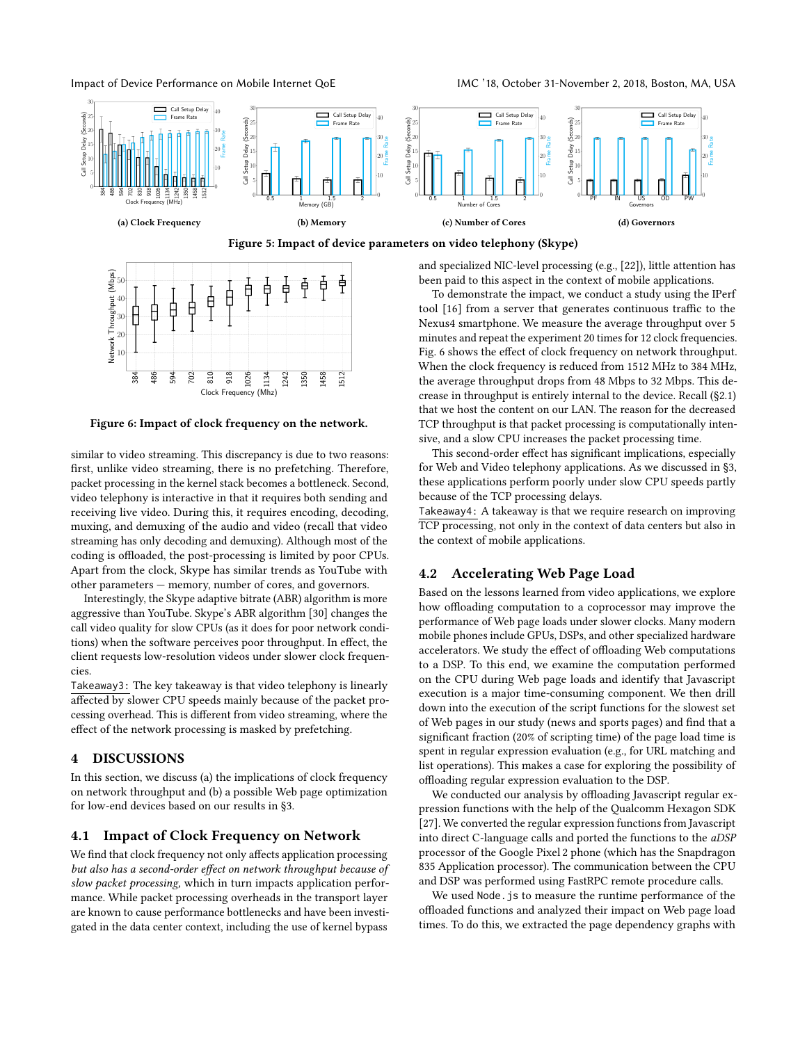Impact of Device Performance on Mobile Internet QoE IMC '18, October 31-November 2, 2018, Boston, MA, USA

<span id="page-4-0"></span>

Figure 5: Impact of device parameters on video telephony (Skype)

<span id="page-4-2"></span>

Figure 6: Impact of clock frequency on the network.

similar to video streaming. This discrepancy is due to two reasons: first, unlike video streaming, there is no prefetching. Therefore, packet processing in the kernel stack becomes a bottleneck. Second, video telephony is interactive in that it requires both sending and receiving live video. During this, it requires encoding, decoding, muxing, and demuxing of the audio and video (recall that video streaming has only decoding and demuxing). Although most of the coding is offloaded, the post-processing is limited by poor CPUs. Apart from the clock, Skype has similar trends as YouTube with other parameters — memory, number of cores, and governors.

Interestingly, the Skype adaptive bitrate (ABR) algorithm is more aggressive than YouTube. Skype's ABR algorithm [\[30\]](#page-6-20) changes the call video quality for slow CPUs (as it does for poor network conditions) when the software perceives poor throughput. In effect, the client requests low-resolution videos under slower clock frequencies.

Takeaway3: The key takeaway is that video telephony is linearly affected by slower CPU speeds mainly because of the packet processing overhead. This is different from video streaming, where the effect of the network processing is masked by prefetching.

## 4 DISCUSSIONS

In this section, we discuss (a) the implications of clock frequency on network throughput and (b) a possible Web page optimization for low-end devices based on our results in [§3.](#page-2-1)

#### 4.1 Impact of Clock Frequency on Network

We find that clock frequency not only affects application processing but also has a second-order effect on network throughput because of slow packet processing, which in turn impacts application performance. While packet processing overheads in the transport layer are known to cause performance bottlenecks and have been investigated in the data center context, including the use of kernel bypass

and specialized NIC-level processing (e.g., [\[22\]](#page-6-21)), little attention has been paid to this aspect in the context of mobile applications.

To demonstrate the impact, we conduct a study using the IPerf tool [\[16\]](#page-6-22) from a server that generates continuous traffic to the Nexus4 smartphone. We measure the average throughput over 5 minutes and repeat the experiment 20 times for 12 clock frequencies. Fig. [6](#page-4-2) shows the effect of clock frequency on network throughput. When the clock frequency is reduced from 1512 MHz to 384 MHz, the average throughput drops from 48 Mbps to 32 Mbps. This decrease in throughput is entirely internal to the device. Recall ([§2.1\)](#page-1-3) that we host the content on our LAN. The reason for the decreased TCP throughput is that packet processing is computationally intensive, and a slow CPU increases the packet processing time.

This second-order effect has significant implications, especially for Web and Video telephony applications. As we discussed in [§3,](#page-2-1) these applications perform poorly under slow CPU speeds partly because of the TCP processing delays.

Takeaway4: A takeaway is that we require research on improving TCP processing, not only in the context of data centers but also in the context of mobile applications.

## <span id="page-4-1"></span>4.2 Accelerating Web Page Load

Based on the lessons learned from video applications, we explore how offloading computation to a coprocessor may improve the performance of Web page loads under slower clocks. Many modern mobile phones include GPUs, DSPs, and other specialized hardware accelerators. We study the effect of offloading Web computations to a DSP. To this end, we examine the computation performed on the CPU during Web page loads and identify that Javascript execution is a major time-consuming component. We then drill down into the execution of the script functions for the slowest set of Web pages in our study (news and sports pages) and find that a significant fraction (20% of scripting time) of the page load time is spent in regular expression evaluation (e.g., for URL matching and list operations). This makes a case for exploring the possibility of offloading regular expression evaluation to the DSP.

We conducted our analysis by offloading Javascript regular expression functions with the help of the Qualcomm Hexagon SDK [\[27\]](#page-6-23). We converted the regular expression functions from Javascript into direct C-language calls and ported the functions to the aDSP processor of the Google Pixel 2 phone (which has the Snapdragon 835 Application processor). The communication between the CPU and DSP was performed using FastRPC remote procedure calls.

We used Node.js to measure the runtime performance of the offloaded functions and analyzed their impact on Web page load times. To do this, we extracted the page dependency graphs with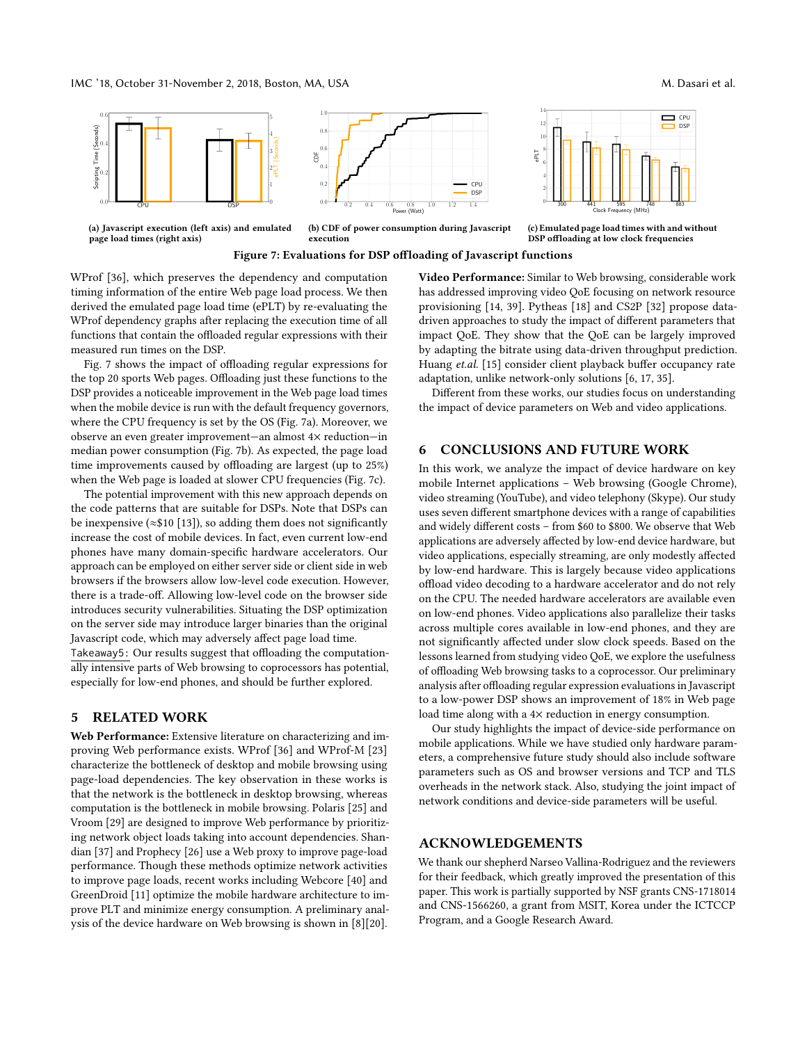CPU CPU DSP

<span id="page-5-0"></span>

(a) Javascript execution (left axis) and emulated page load times (right axis)



(b) CDF of power consumption during Javascript execution

Figure 7: Evaluations for DSP offloading of Javascript functions

WProf [\[36\]](#page-6-6), which preserves the dependency and computation timing information of the entire Web page load process. We then derived the emulated page load time (ePLT) by re-evaluating the WProf dependency graphs after replacing the execution time of all functions that contain the offloaded regular expressions with their measured run times on the DSP.

Fig. [7](#page-5-0) shows the impact of offloading regular expressions for the top 20 sports Web pages. Offloading just these functions to the DSP provides a noticeable improvement in the Web page load times when the mobile device is run with the default frequency governors, where the CPU frequency is set by the OS (Fig. [7a](#page-5-0)). Moreover, we observe an even greater improvement—an almost 4× reduction—in median power consumption (Fig. [7b](#page-5-0)). As expected, the page load time improvements caused by offloading are largest (up to 25%) when the Web page is loaded at slower CPU frequencies (Fig. [7c](#page-5-0)).

The potential improvement with this new approach depends on the code patterns that are suitable for DSPs. Note that DSPs can be inexpensive ( $\approx$ \$10 [\[13\]](#page-6-24)), so adding them does not significantly increase the cost of mobile devices. In fact, even current low-end phones have many domain-specific hardware accelerators. Our approach can be employed on either server side or client side in web browsers if the browsers allow low-level code execution. However, there is a trade-off. Allowing low-level code on the browser side introduces security vulnerabilities. Situating the DSP optimization on the server side may introduce larger binaries than the original Javascript code, which may adversely affect page load time. Takeaway5: Our results suggest that offloading the computationally intensive parts of Web browsing to coprocessors has potential, especially for low-end phones, and should be further explored.

# 5 RELATED WORK

Web Performance: Extensive literature on characterizing and improving Web performance exists. WProf [\[36\]](#page-6-6) and WProf-M [\[23\]](#page-6-3) characterize the bottleneck of desktop and mobile browsing using page-load dependencies. The key observation in these works is that the network is the bottleneck in desktop browsing, whereas computation is the bottleneck in mobile browsing. Polaris [\[25\]](#page-6-25) and Vroom [\[29\]](#page-6-26) are designed to improve Web performance by prioritizing network object loads taking into account dependencies. Shandian [\[37\]](#page-6-27) and Prophecy [\[26\]](#page-6-28) use a Web proxy to improve page-load performance. Though these methods optimize network activities to improve page loads, recent works including Webcore [\[40\]](#page-6-29) and GreenDroid [\[11\]](#page-6-30) optimize the mobile hardware architecture to improve PLT and minimize energy consumption. A preliminary analysis of the device hardware on Web browsing is shown in [\[8\]](#page-6-31)[\[20\]](#page-6-32).

Video Performance: Similar to Web browsing, considerable work has addressed improving video QoE focusing on network resource provisioning [\[14,](#page-6-33) [39\]](#page-6-34). Pytheas [\[18\]](#page-6-35) and CS2P [\[32\]](#page-6-36) propose datadriven approaches to study the impact of different parameters that impact QoE. They show that the QoE can be largely improved by adapting the bitrate using data-driven throughput prediction. Huang et.al. [\[15\]](#page-6-37) consider client playback buffer occupancy rate adaptation, unlike network-only solutions [\[6,](#page-6-38) [17,](#page-6-39) [35\]](#page-6-40).

 $0$   $\rightarrow$   $\frac{1}{200}$  $2 - 1 - 1$ 4 T 6 | | 8 1 H  $10 - 1 - 1$ 12 | |  $14$ 

e Alli

300 441 595 748 883 Clock Frequency (MHz)

(c) Emulated page load times with and without DSP offloading at low clock frequencies

Different from these works, our studies focus on understanding the impact of device parameters on Web and video applications.

# 6 CONCLUSIONS AND FUTURE WORK

In this work, we analyze the impact of device hardware on key mobile Internet applications – Web browsing (Google Chrome), video streaming (YouTube), and video telephony (Skype). Our study uses seven different smartphone devices with a range of capabilities and widely different costs – from \$60 to \$800. We observe that Web applications are adversely affected by low-end device hardware, but video applications, especially streaming, are only modestly affected by low-end hardware. This is largely because video applications offload video decoding to a hardware accelerator and do not rely on the CPU. The needed hardware accelerators are available even on low-end phones. Video applications also parallelize their tasks across multiple cores available in low-end phones, and they are not significantly affected under slow clock speeds. Based on the lessons learned from studying video QoE, we explore the usefulness of offloading Web browsing tasks to a coprocessor. Our preliminary analysis after offloading regular expression evaluations in Javascript to a low-power DSP shows an improvement of 18% in Web page load time along with a  $4\times$  reduction in energy consumption.

Our study highlights the impact of device-side performance on mobile applications. While we have studied only hardware parameters, a comprehensive future study should also include software parameters such as OS and browser versions and TCP and TLS overheads in the network stack. Also, studying the joint impact of network conditions and device-side parameters will be useful.

## ACKNOWLEDGEMENTS

We thank our shepherd Narseo Vallina-Rodriguez and the reviewers for their feedback, which greatly improved the presentation of this paper. This work is partially supported by NSF grants CNS-1718014 and CNS-1566260, a grant from MSIT, Korea under the ICTCCP Program, and a Google Research Award.